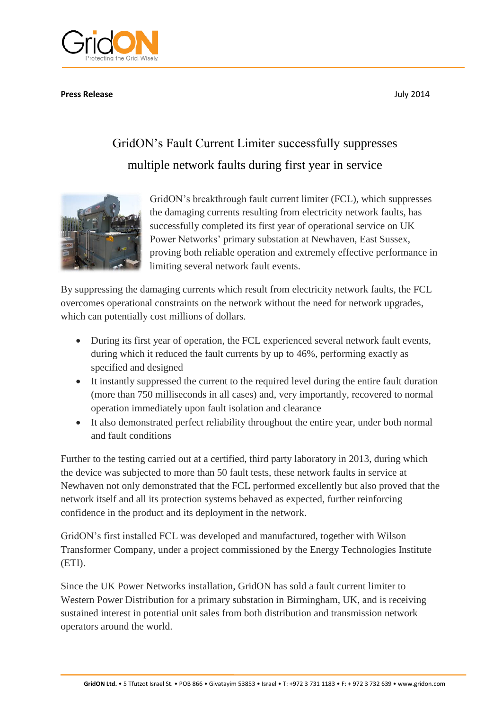

#### **Press Release** July 2014

# GridON's Fault Current Limiter successfully suppresses multiple network faults during first year in service



GridON's breakthrough fault current limiter (FCL), which suppresses the damaging currents resulting from electricity network faults, has successfully completed its first year of operational service on UK Power Networks' primary substation at Newhaven, East Sussex, proving both reliable operation and extremely effective performance in limiting several network fault events.

By suppressing the damaging currents which result from electricity network faults, the FCL overcomes operational constraints on the network without the need for network upgrades, which can potentially cost millions of dollars.

- During its first year of operation, the FCL experienced several network fault events, during which it reduced the fault currents by up to 46%, performing exactly as specified and designed
- It instantly suppressed the current to the required level during the entire fault duration (more than 750 milliseconds in all cases) and, very importantly, recovered to normal operation immediately upon fault isolation and clearance
- It also demonstrated perfect reliability throughout the entire year, under both normal and fault conditions

Further to the testing carried out at a certified, third party laboratory in 2013, during which the device was subjected to more than 50 fault tests, these network faults in service at Newhaven not only demonstrated that the FCL performed excellently but also proved that the network itself and all its protection systems behaved as expected, further reinforcing confidence in the product and its deployment in the network.

GridON's first installed FCL was developed and manufactured, together with Wilson Transformer Company, under a project commissioned by the Energy Technologies Institute (ETI).

Since the UK Power Networks installation, GridON has sold a fault current limiter to Western Power Distribution for a primary substation in Birmingham, UK, and is receiving sustained interest in potential unit sales from both distribution and transmission network operators around the world.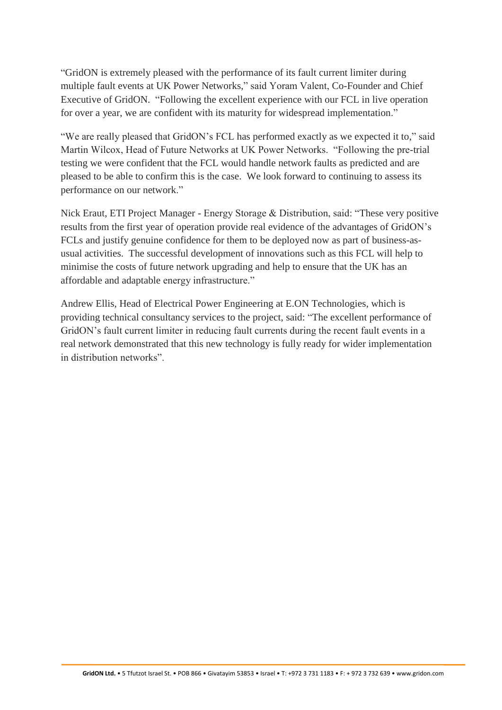"GridON is extremely pleased with the performance of its fault current limiter during multiple fault events at UK Power Networks," said Yoram Valent, Co-Founder and Chief Executive of GridON. "Following the excellent experience with our FCL in live operation for over a year, we are confident with its maturity for widespread implementation."

"We are really pleased that GridON's FCL has performed exactly as we expected it to," said Martin Wilcox, Head of Future Networks at UK Power Networks. "Following the pre-trial testing we were confident that the FCL would handle network faults as predicted and are pleased to be able to confirm this is the case. We look forward to continuing to assess its performance on our network."

Nick Eraut, ETI Project Manager - Energy Storage & Distribution, said: "These very positive results from the first year of operation provide real evidence of the advantages of GridON's FCLs and justify genuine confidence for them to be deployed now as part of business-asusual activities. The successful development of innovations such as this FCL will help to minimise the costs of future network upgrading and help to ensure that the UK has an affordable and adaptable energy infrastructure."

Andrew Ellis, Head of Electrical Power Engineering at E.ON Technologies, which is providing technical consultancy services to the project, said: "The excellent performance of GridON's fault current limiter in reducing fault currents during the recent fault events in a real network demonstrated that this new technology is fully ready for wider implementation in distribution networks".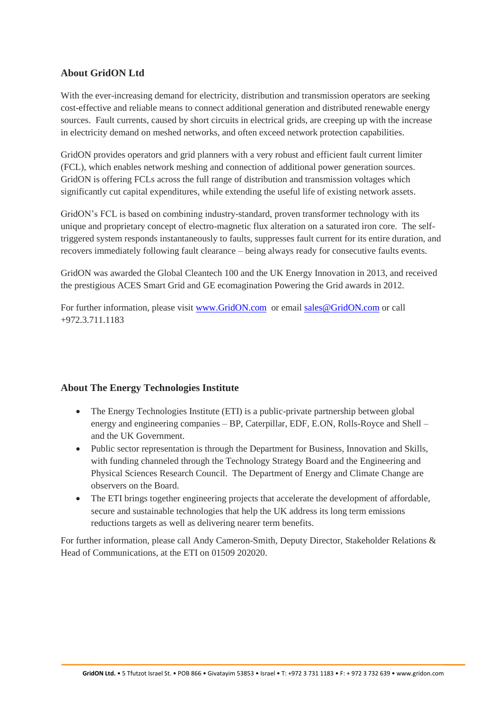## **About GridON Ltd**

With the ever-increasing demand for electricity, distribution and transmission operators are seeking cost-effective and reliable means to connect additional generation and distributed renewable energy sources. Fault currents, caused by short circuits in electrical grids, are creeping up with the increase in electricity demand on meshed networks, and often exceed network protection capabilities.

GridON provides operators and grid planners with a very robust and efficient fault current limiter (FCL), which enables network meshing and connection of additional power generation sources. GridON is offering FCLs across the full range of distribution and transmission voltages which significantly cut capital expenditures, while extending the useful life of existing network assets.

GridON's FCL is based on combining industry-standard, proven transformer technology with its unique and proprietary concept of electro-magnetic flux alteration on a saturated iron core. The selftriggered system responds instantaneously to faults, suppresses fault current for its entire duration, and recovers immediately following fault clearance – being always ready for consecutive faults events.

GridON was awarded the Global Cleantech 100 and the UK Energy Innovation in 2013, and received the prestigious ACES Smart Grid and GE ecomagination Powering the Grid awards in 2012.

For further information, please visit [www.GridON.com](http://www.gridon.com/) or email [sales@GridON.com](mailto:sales@GridON.com) or call +972.3.711.1183

#### **About The Energy Technologies Institute**

- The Energy Technologies Institute (ETI) is a public-private partnership between global energy and engineering companies – BP, Caterpillar, EDF, E.ON, Rolls-Royce and Shell – and the UK Government.
- Public sector representation is through the Department for Business, Innovation and Skills, with funding channeled through the Technology Strategy Board and the Engineering and Physical Sciences Research Council. The Department of Energy and Climate Change are observers on the Board.
- The ETI brings together engineering projects that accelerate the development of affordable, secure and sustainable technologies that help the UK address its long term emissions reductions targets as well as delivering nearer term benefits.

For further information, please call Andy Cameron-Smith, Deputy Director, Stakeholder Relations & Head of Communications, at the ETI on 01509 202020.